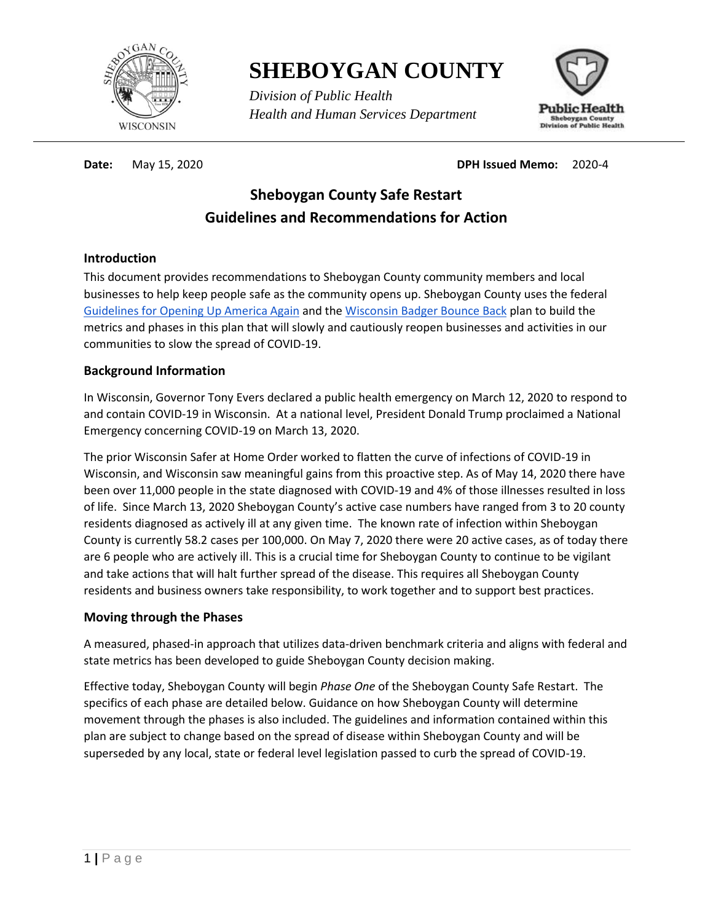

**SHEBOYGAN COUNTY**

*Division of Public Health Health and Human Services Department*



**Date:** May 15, 2020 **DPH Issued Memo:** 2020-4

# **Sheboygan County Safe Restart Guidelines and Recommendations for Action**

#### **Introduction**

This document provides recommendations to Sheboygan County community members and local businesses to help keep people safe as the community opens up. Sheboygan County uses the federal [Guidelines for Opening Up America Again](https://www.whitehouse.gov/openingamerica/) and th[e Wisconsin Badger Bounce Back](https://www.dhs.wisconsin.gov/publications/p02653a.pdf) plan to build the metrics and phases in this plan that will slowly and cautiously reopen businesses and activities in our communities to slow the spread of COVID-19.

#### **Background Information**

In Wisconsin, Governor Tony Evers declared a public health emergency on March 12, 2020 to respond to and contain COVID-19 in Wisconsin. At a national level, President Donald Trump proclaimed a National Emergency concerning COVID-19 on March 13, 2020.

The prior Wisconsin Safer at Home Order worked to flatten the curve of infections of COVID-19 in Wisconsin, and Wisconsin saw meaningful gains from this proactive step. As of May 14, 2020 there have been over 11,000 people in the state diagnosed with COVID-19 and 4% of those illnesses resulted in loss of life. Since March 13, 2020 Sheboygan County's active case numbers have ranged from 3 to 20 county residents diagnosed as actively ill at any given time. The known rate of infection within Sheboygan County is currently 58.2 cases per 100,000. On May 7, 2020 there were 20 active cases, as of today there are 6 people who are actively ill. This is a crucial time for Sheboygan County to continue to be vigilant and take actions that will halt further spread of the disease. This requires all Sheboygan County residents and business owners take responsibility, to work together and to support best practices.

#### **Moving through the Phases**

A measured, phased-in approach that utilizes data-driven benchmark criteria and aligns with federal and state metrics has been developed to guide Sheboygan County decision making.

Effective today, Sheboygan County will begin *Phase One* of the Sheboygan County Safe Restart. The specifics of each phase are detailed below. Guidance on how Sheboygan County will determine movement through the phases is also included. The guidelines and information contained within this plan are subject to change based on the spread of disease within Sheboygan County and will be superseded by any local, state or federal level legislation passed to curb the spread of COVID-19.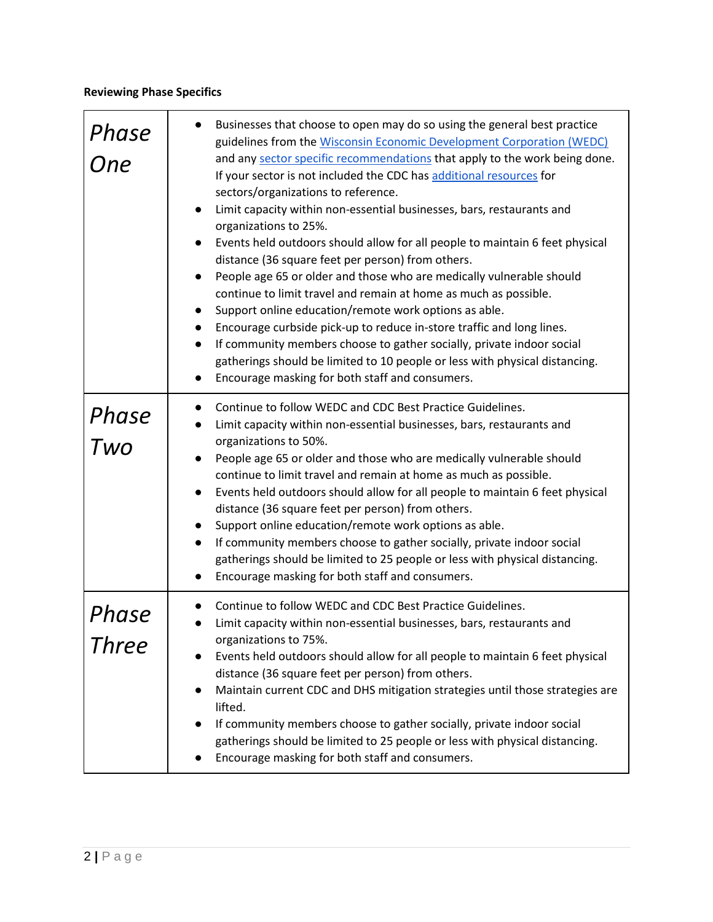### **Reviewing Phase Specifics**

| Phase<br>One   | Businesses that choose to open may do so using the general best practice<br>guidelines from the Wisconsin Economic Development Corporation (WEDC)<br>and any sector specific recommendations that apply to the work being done.<br>If your sector is not included the CDC has additional resources for<br>sectors/organizations to reference.<br>Limit capacity within non-essential businesses, bars, restaurants and<br>organizations to 25%.<br>Events held outdoors should allow for all people to maintain 6 feet physical<br>distance (36 square feet per person) from others.<br>People age 65 or older and those who are medically vulnerable should<br>continue to limit travel and remain at home as much as possible.<br>Support online education/remote work options as able.<br>Encourage curbside pick-up to reduce in-store traffic and long lines.<br>If community members choose to gather socially, private indoor social<br>gatherings should be limited to 10 people or less with physical distancing.<br>Encourage masking for both staff and consumers. |
|----------------|-------------------------------------------------------------------------------------------------------------------------------------------------------------------------------------------------------------------------------------------------------------------------------------------------------------------------------------------------------------------------------------------------------------------------------------------------------------------------------------------------------------------------------------------------------------------------------------------------------------------------------------------------------------------------------------------------------------------------------------------------------------------------------------------------------------------------------------------------------------------------------------------------------------------------------------------------------------------------------------------------------------------------------------------------------------------------------|
| Phase<br>Two   | Continue to follow WEDC and CDC Best Practice Guidelines.<br>Limit capacity within non-essential businesses, bars, restaurants and<br>organizations to 50%.<br>People age 65 or older and those who are medically vulnerable should<br>continue to limit travel and remain at home as much as possible.<br>Events held outdoors should allow for all people to maintain 6 feet physical<br>$\bullet$<br>distance (36 square feet per person) from others.<br>Support online education/remote work options as able.<br>If community members choose to gather socially, private indoor social<br>gatherings should be limited to 25 people or less with physical distancing.<br>Encourage masking for both staff and consumers.                                                                                                                                                                                                                                                                                                                                                 |
| Phase<br>Three | Continue to follow WEDC and CDC Best Practice Guidelines.<br>Limit capacity within non-essential businesses, bars, restaurants and<br>organizations to 75%.<br>Events held outdoors should allow for all people to maintain 6 feet physical<br>distance (36 square feet per person) from others.<br>Maintain current CDC and DHS mitigation strategies until those strategies are<br>lifted.<br>If community members choose to gather socially, private indoor social<br>gatherings should be limited to 25 people or less with physical distancing.<br>Encourage masking for both staff and consumers.                                                                                                                                                                                                                                                                                                                                                                                                                                                                       |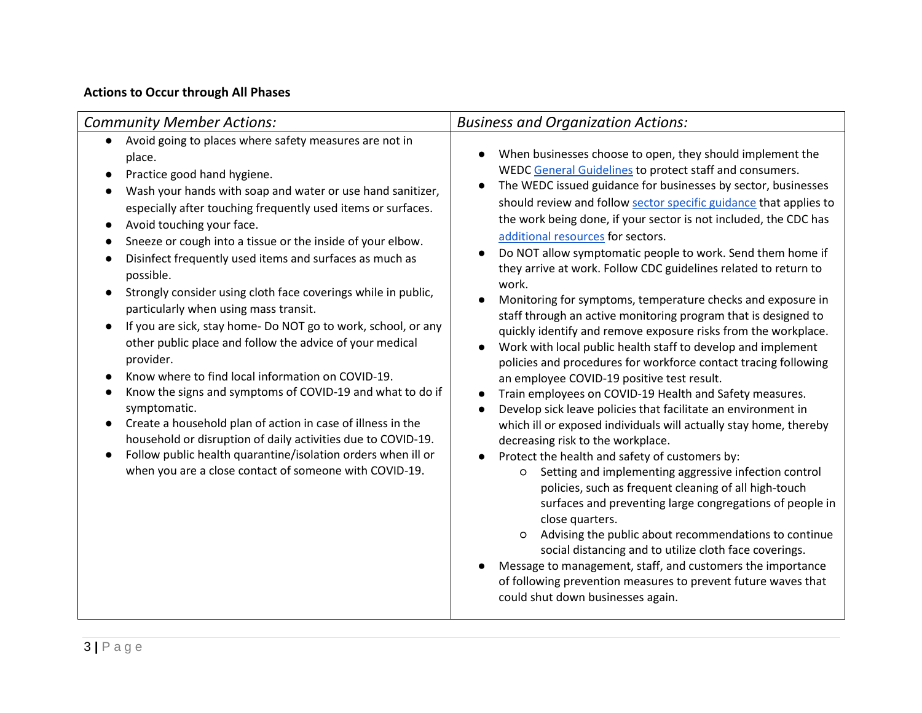## **Actions to Occur through All Phases**

| <b>Community Member Actions:</b>                                                                                                                                                                                                                                                                                                                                                                                                                                                                                                                                                                                                                                                                                                                                                                                                                                                                                                                                                                                                                                                                                                                                                               | <b>Business and Organization Actions:</b>                                                                                                                                                                                                                                                                                                                                                                                                                                                                                                                                                                                                                                                                                                                                                                                                                                                                                                                                                                                                                                                                                                                                                                                                                                                                                                                                                                                                                                                                                                                                                                                                                                                                                                             |  |  |
|------------------------------------------------------------------------------------------------------------------------------------------------------------------------------------------------------------------------------------------------------------------------------------------------------------------------------------------------------------------------------------------------------------------------------------------------------------------------------------------------------------------------------------------------------------------------------------------------------------------------------------------------------------------------------------------------------------------------------------------------------------------------------------------------------------------------------------------------------------------------------------------------------------------------------------------------------------------------------------------------------------------------------------------------------------------------------------------------------------------------------------------------------------------------------------------------|-------------------------------------------------------------------------------------------------------------------------------------------------------------------------------------------------------------------------------------------------------------------------------------------------------------------------------------------------------------------------------------------------------------------------------------------------------------------------------------------------------------------------------------------------------------------------------------------------------------------------------------------------------------------------------------------------------------------------------------------------------------------------------------------------------------------------------------------------------------------------------------------------------------------------------------------------------------------------------------------------------------------------------------------------------------------------------------------------------------------------------------------------------------------------------------------------------------------------------------------------------------------------------------------------------------------------------------------------------------------------------------------------------------------------------------------------------------------------------------------------------------------------------------------------------------------------------------------------------------------------------------------------------------------------------------------------------------------------------------------------------|--|--|
| Avoid going to places where safety measures are not in<br>place.<br>Practice good hand hygiene.<br>$\bullet$<br>Wash your hands with soap and water or use hand sanitizer,<br>$\bullet$<br>especially after touching frequently used items or surfaces.<br>Avoid touching your face.<br>$\bullet$<br>Sneeze or cough into a tissue or the inside of your elbow.<br>$\bullet$<br>Disinfect frequently used items and surfaces as much as<br>$\bullet$<br>possible.<br>Strongly consider using cloth face coverings while in public,<br>$\bullet$<br>particularly when using mass transit.<br>If you are sick, stay home- Do NOT go to work, school, or any<br>$\bullet$<br>other public place and follow the advice of your medical<br>provider.<br>Know where to find local information on COVID-19.<br>$\bullet$<br>Know the signs and symptoms of COVID-19 and what to do if<br>$\bullet$<br>symptomatic.<br>Create a household plan of action in case of illness in the<br>$\bullet$<br>household or disruption of daily activities due to COVID-19.<br>Follow public health quarantine/isolation orders when ill or<br>$\bullet$<br>when you are a close contact of someone with COVID-19. | When businesses choose to open, they should implement the<br>$\bullet$<br>WEDC General Guidelines to protect staff and consumers.<br>The WEDC issued guidance for businesses by sector, businesses<br>should review and follow sector specific guidance that applies to<br>the work being done, if your sector is not included, the CDC has<br>additional resources for sectors.<br>Do NOT allow symptomatic people to work. Send them home if<br>they arrive at work. Follow CDC guidelines related to return to<br>work.<br>Monitoring for symptoms, temperature checks and exposure in<br>staff through an active monitoring program that is designed to<br>quickly identify and remove exposure risks from the workplace.<br>Work with local public health staff to develop and implement<br>policies and procedures for workforce contact tracing following<br>an employee COVID-19 positive test result.<br>Train employees on COVID-19 Health and Safety measures.<br>$\bullet$<br>Develop sick leave policies that facilitate an environment in<br>$\bullet$<br>which ill or exposed individuals will actually stay home, thereby<br>decreasing risk to the workplace.<br>Protect the health and safety of customers by:<br>$\bullet$<br>Setting and implementing aggressive infection control<br>O<br>policies, such as frequent cleaning of all high-touch<br>surfaces and preventing large congregations of people in<br>close quarters.<br>Advising the public about recommendations to continue<br>$\circ$<br>social distancing and to utilize cloth face coverings.<br>Message to management, staff, and customers the importance<br>of following prevention measures to prevent future waves that<br>could shut down businesses again. |  |  |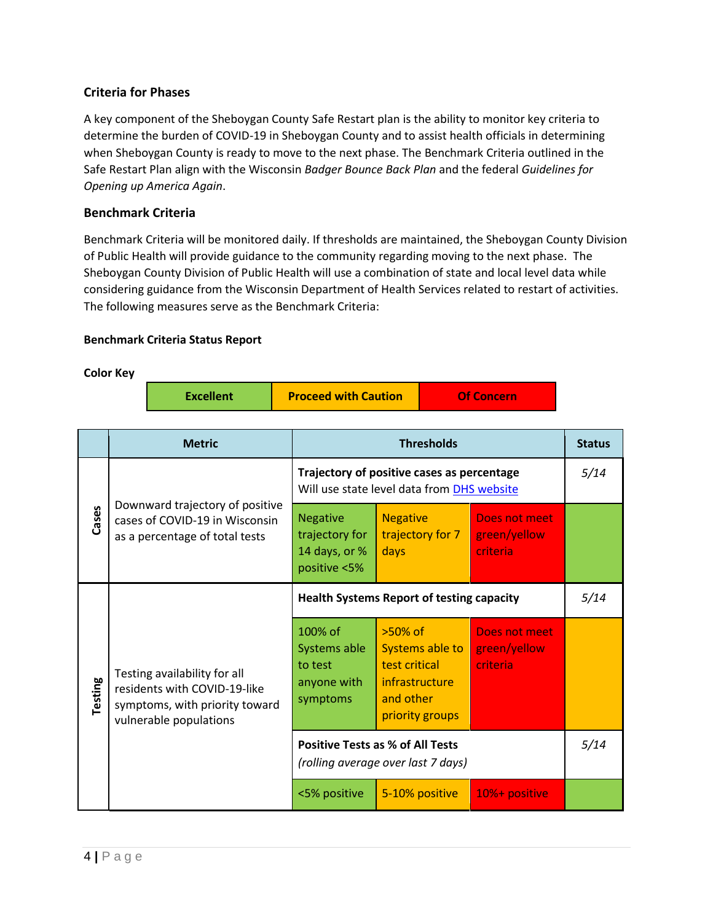#### **Criteria for Phases**

A key component of the Sheboygan County Safe Restart plan is the ability to monitor key criteria to determine the burden of COVID-19 in Sheboygan County and to assist health officials in determining when Sheboygan County is ready to move to the next phase. The Benchmark Criteria outlined in the Safe Restart Plan align with the Wisconsin *Badger Bounce Back Plan* and the federal *Guidelines for Opening up America Again*.

#### **Benchmark Criteria**

Benchmark Criteria will be monitored daily. If thresholds are maintained, the Sheboygan County Division of Public Health will provide guidance to the community regarding moving to the next phase. The Sheboygan County Division of Public Health will use a combination of state and local level data while considering guidance from the Wisconsin Department of Health Services related to restart of activities. The following measures serve as the Benchmark Criteria:

#### **Benchmark Criteria Status Report**

#### **Color Key**

| <b>Excellent</b> | <b>Proceed with Caution</b> | <b>Of Concern</b> |
|------------------|-----------------------------|-------------------|
|------------------|-----------------------------|-------------------|

|         | <b>Metric</b>                                                                                                            | <b>Thresholds</b>                                                                        |                                                                                                  |                                                  | <b>Status</b> |
|---------|--------------------------------------------------------------------------------------------------------------------------|------------------------------------------------------------------------------------------|--------------------------------------------------------------------------------------------------|--------------------------------------------------|---------------|
| Cases   | Downward trajectory of positive<br>cases of COVID-19 in Wisconsin<br>as a percentage of total tests                      | Trajectory of positive cases as percentage<br>Will use state level data from DHS website |                                                                                                  |                                                  | 5/14          |
|         |                                                                                                                          | <b>Negative</b><br>trajectory for<br>14 days, or %<br>positive <5%                       | <b>Negative</b><br>trajectory for 7<br>days                                                      | Does not meet<br>green/yellow<br><b>criteria</b> |               |
| Testing | Testing availability for all<br>residents with COVID-19-like<br>symptoms, with priority toward<br>vulnerable populations | <b>Health Systems Report of testing capacity</b>                                         |                                                                                                  |                                                  | 5/14          |
|         |                                                                                                                          | 100% of<br>Systems able<br>to test<br>anyone with<br>symptoms                            | $>50\%$ of<br>Systems able to<br>test critical<br>infrastructure<br>and other<br>priority groups | Does not meet<br>green/yellow<br>criteria        |               |
|         |                                                                                                                          | <b>Positive Tests as % of All Tests</b><br>(rolling average over last 7 days)            |                                                                                                  |                                                  | 5/14          |
|         |                                                                                                                          | <5% positive                                                                             | 5-10% positive                                                                                   | 10%+ positive                                    |               |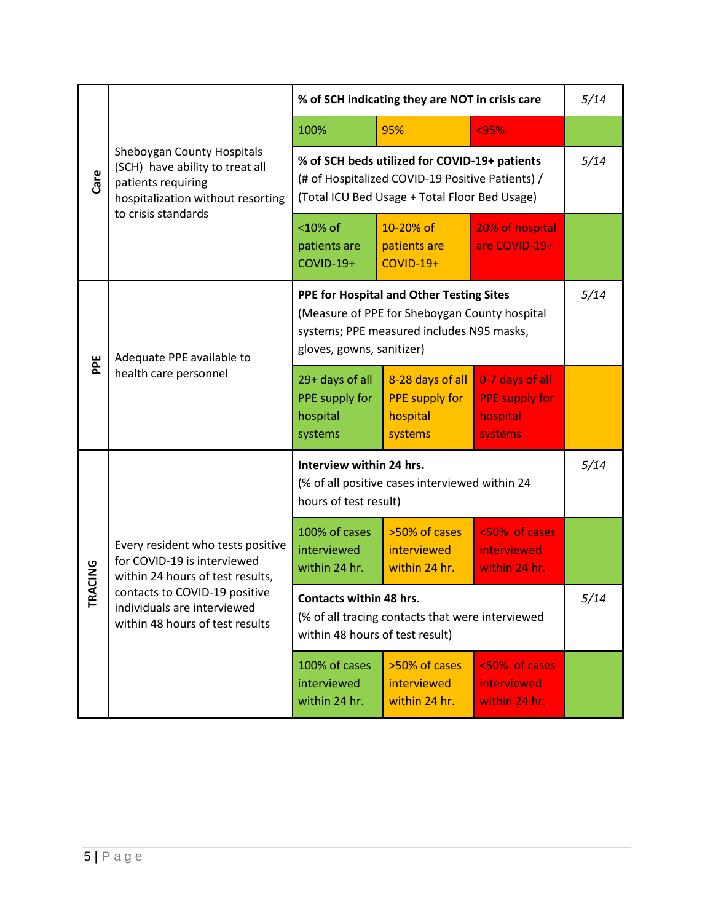| Care          | Sheboygan County Hospitals<br>(SCH) have ability to treat all<br>patients requiring<br>hospitalization without resorting<br>to crisis standards                                                         | % of SCH indicating they are NOT in crisis care                                                                                                                     |                                                                  |                                                                 | 5/14 |
|---------------|---------------------------------------------------------------------------------------------------------------------------------------------------------------------------------------------------------|---------------------------------------------------------------------------------------------------------------------------------------------------------------------|------------------------------------------------------------------|-----------------------------------------------------------------|------|
|               |                                                                                                                                                                                                         | 100%                                                                                                                                                                | 95%                                                              | < 95%                                                           |      |
|               |                                                                                                                                                                                                         | % of SCH beds utilized for COVID-19+ patients<br>(# of Hospitalized COVID-19 Positive Patients) /<br>(Total ICU Bed Usage + Total Floor Bed Usage)                  |                                                                  |                                                                 | 5/14 |
|               |                                                                                                                                                                                                         | <10% of<br>patients are<br><b>COVID-19+</b>                                                                                                                         | 10-20% of<br>patients are<br><b>COVID-19+</b>                    | 20% of hospital<br>are COVID-19+                                |      |
| PE            | Adequate PPE available to<br>health care personnel                                                                                                                                                      | PPE for Hospital and Other Testing Sites<br>(Measure of PPE for Sheboygan County hospital<br>systems; PPE measured includes N95 masks,<br>gloves, gowns, sanitizer) |                                                                  |                                                                 | 5/14 |
|               |                                                                                                                                                                                                         | 29+ days of all<br>PPE supply for<br>hospital<br>systems                                                                                                            | 8-28 days of all<br><b>PPE supply for</b><br>hospital<br>systems | 0-7 days of all<br><b>PPE supply for</b><br>hospital<br>systems |      |
| <b>RACING</b> | Every resident who tests positive<br>for COVID-19 is interviewed<br>within 24 hours of test results,<br>contacts to COVID-19 positive<br>individuals are interviewed<br>within 48 hours of test results | Interview within 24 hrs.<br>(% of all positive cases interviewed within 24<br>hours of test result)                                                                 |                                                                  |                                                                 | 5/14 |
|               |                                                                                                                                                                                                         | 100% of cases<br>interviewed<br>within 24 hr.                                                                                                                       | >50% of cases<br>interviewed<br>within 24 hr.                    | <50% of cases<br>interviewed<br>within 24 hr.                   |      |
|               |                                                                                                                                                                                                         | <b>Contacts within 48 hrs.</b><br>(% of all tracing contacts that were interviewed<br>within 48 hours of test result)                                               |                                                                  |                                                                 | 5/14 |
|               |                                                                                                                                                                                                         | 100% of cases<br>interviewed<br>within 24 hr.                                                                                                                       | >50% of cases<br>interviewed<br>within 24 hr.                    | <50% of cases<br>interviewed<br>within 24 hr.                   |      |
|               |                                                                                                                                                                                                         |                                                                                                                                                                     |                                                                  |                                                                 |      |
|               | 5 Page                                                                                                                                                                                                  |                                                                                                                                                                     |                                                                  |                                                                 |      |